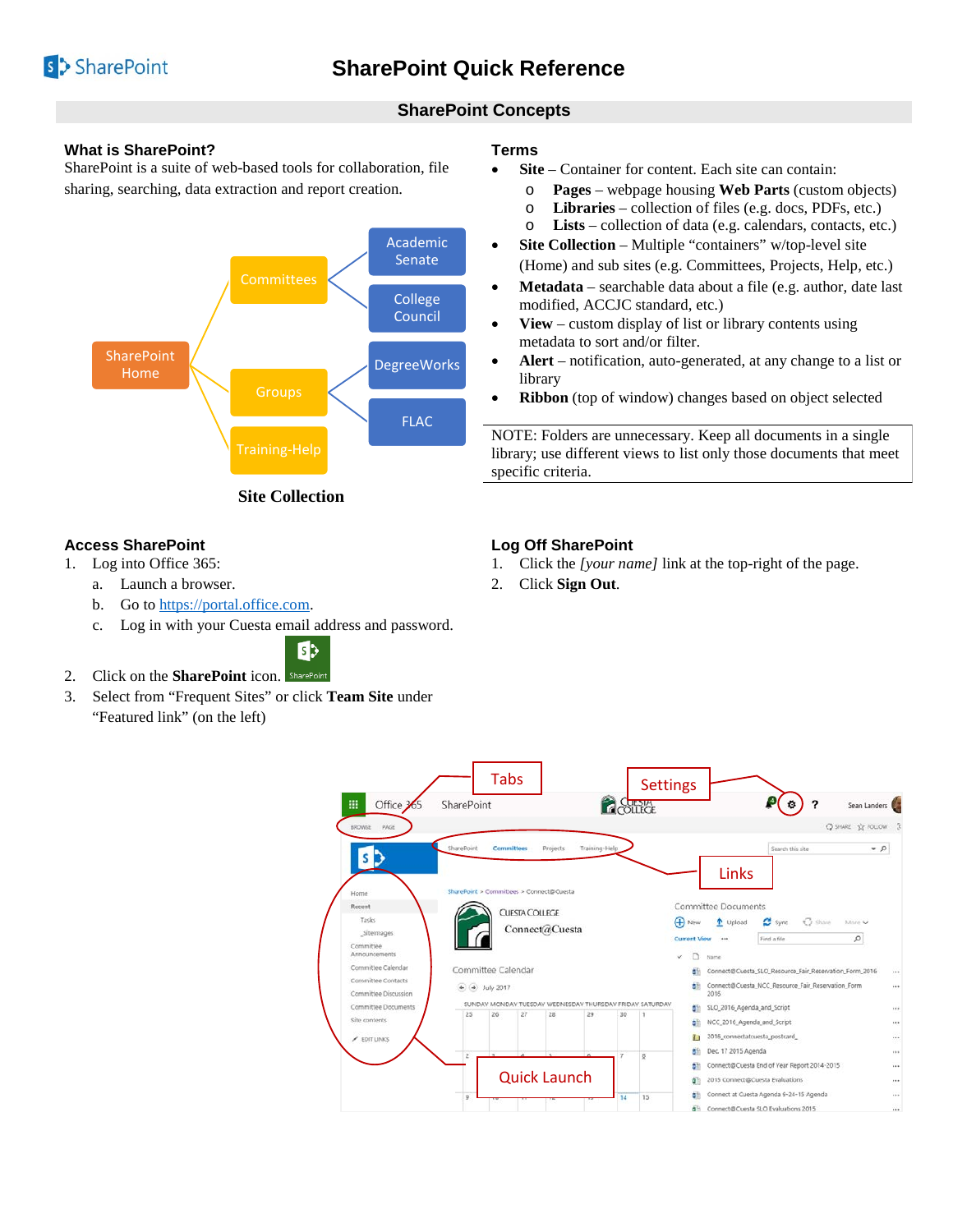

# **SharePoint Concepts**

## **What is SharePoint?**

SharePoint is a suite of web-based tools for collaboration, file sharing, searching, data extraction and report creation.



**Site Collection**

## **Access SharePoint**

- 1. Log into Office 365:
	- a. Launch a browser.
	- b. Go to [https://portal.office.com.](https://portal.office.com/)
	- c. Log in with your Cuesta email address and password.



- 2. Click on the **SharePoint** icon. SharePoint
- 3. Select from "Frequent Sites" or click **Team Site** under "Featured link" (on the left)

## **Terms**

- **Site** Container for content. Each site can contain:
	- o **Pages** webpage housing **Web Parts** (custom objects)
	- o **Libraries** collection of files (e.g. docs, PDFs, etc.)
- o **Lists** collection of data (e.g. calendars, contacts, etc.) • **Site Collection** – Multiple "containers" w/top-level site
- (Home) and sub sites (e.g. Committees, Projects, Help, etc.)
- **Metadata** searchable data about a file (e.g. author, date last modified, ACCJC standard, etc.)
- **View** custom display of list or library contents using metadata to sort and/or filter.
- **Alert** notification, auto-generated, at any change to a list or library
- **Ribbon** (top of window) changes based on object selected

NOTE: Folders are unnecessary. Keep all documents in a single library; use different views to list only those documents that meet specific criteria.

## **Log Off SharePoint**

- 1. Click the *[your name]* link at the top-right of the page.
- 2. Click **Sign Out**.

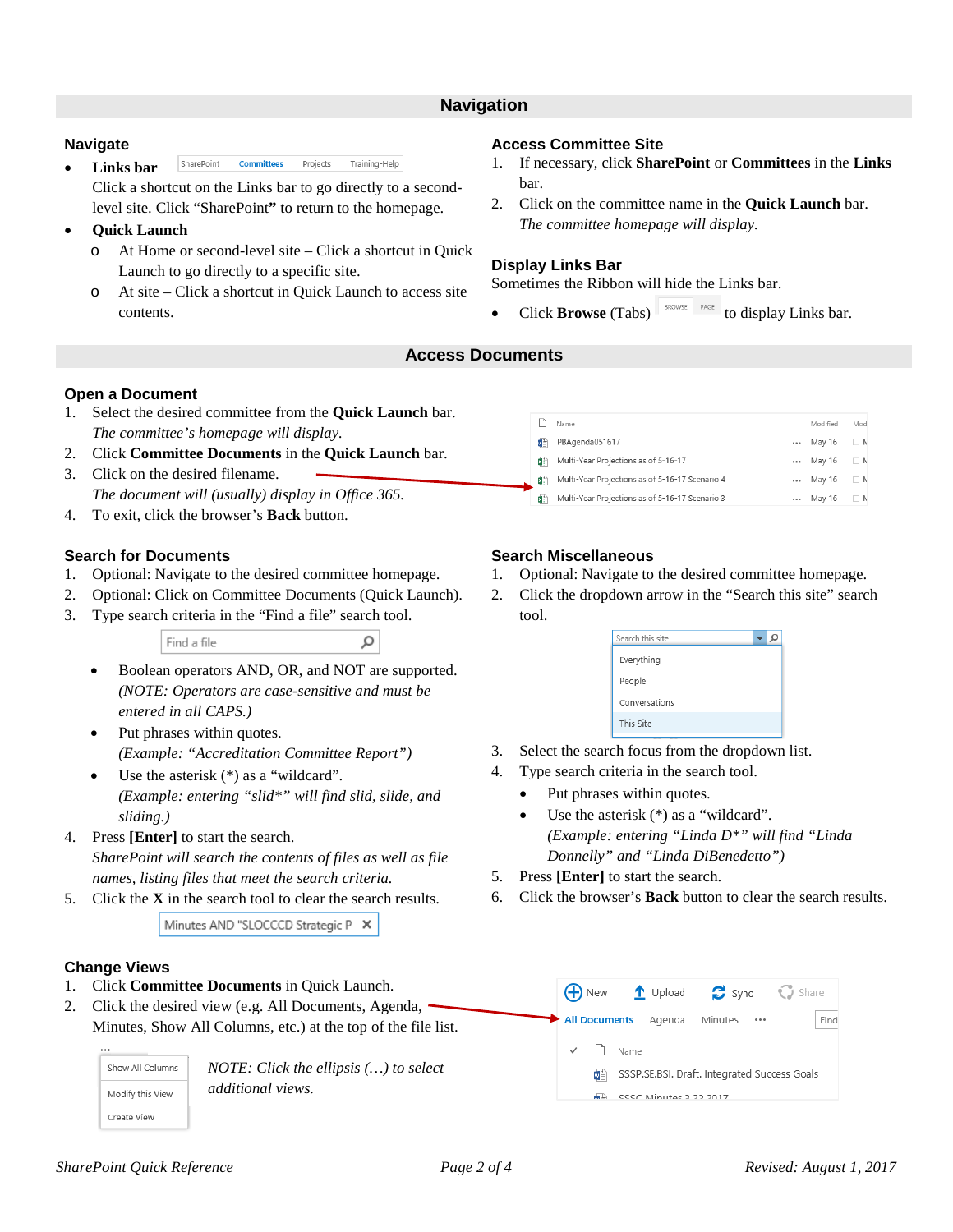## **Navigation**

#### **Navigate**

SharePoint **Committees** Projects Training-Help • **Links bar**

Click a shortcut on the Links bar to go directly to a secondlevel site. Click "SharePoint**"** to return to the homepage.

- **Quick Launch** 
	- o At Home or second-level site Click a shortcut in Quick Launch to go directly to a specific site.
	- o At site Click a shortcut in Quick Launch to access site contents.

### **Access Committee Site**

- 1. If necessary, click **SharePoint** or **Committees** in the **Links**  bar.
- 2. Click on the committee name in the **Quick Launch** bar. *The committee homepage will display.*

## **Display Links Bar**

Sometimes the Ribbon will hide the Links bar.

Click **Browse** (Tabs)  $\left\| \begin{array}{cc} \text{BROWSE} & \text{PoAGE} \\ \end{array} \right\|$  to display Links bar.

## **Access Documents**

## **Open a Document**

- 1. Select the desired committee from the **Quick Launch** bar. *The committee's homepage will display.*
- 2. Click **Committee Documents** in the **Quick Launch** bar.
- 3. Click on the desired filename. *The document will (usually) display in Office 365.*
- 4. To exit, click the browser's **Back** button.

# **Search for Documents**

- 1. Optional: Navigate to the desired committee homepage.
- 2. Optional: Click on Committee Documents (Quick Launch).
- 3. Type search criteria in the "Find a file" search tool.

Find a file

• Boolean operators AND, OR, and NOT are supported. *(NOTE: Operators are case-sensitive and must be entered in all CAPS.)*

α

- Put phrases within quotes. *(Example: "Accreditation Committee Report")*
- Use the asterisk  $(*)$  as a "wildcard". *(Example: entering "slid\*" will find slid, slide, and sliding.)*
- 4. Press **[Enter]** to start the search. *SharePoint will search the contents of files as well as file names, listing files that meet the search criteria.*
- 5. Click the **X** in the search tool to clear the search results.

Minutes AND "SLOCCCD Strategic P X

# **Change Views**

- 1. Click **Committee Documents** in Quick Launch.
- 2. Click the desired view (e.g. All Documents, Agenda, Minutes, Show All Columns, etc.) at the top of the file list.

Show All Columns Modify this View Create View

*NOTE: Click the ellipsis (…) to select additional views.*

|    | Name                                                | Modified | Mod      |
|----|-----------------------------------------------------|----------|----------|
| 國首 | PBAgenda051617<br>                                  | May 16   | $\Box N$ |
| 関節 | Multi-Year Projections as of 5-16-17<br>            | May 16   | $\Box N$ |
| 제目 | Multi-Year Projections as of 5-16-17 Scenario 4<br> | May 16   | $\Box N$ |
| 関節 | Multi-Year Projections as of 5-16-17 Scenario 3<br> | May 16   | $\Box N$ |
|    |                                                     |          |          |

# **Search Miscellaneous**

- 1. Optional: Navigate to the desired committee homepage.
- 2. Click the dropdown arrow in the "Search this site" search tool.

| Search this site |  |
|------------------|--|
| Everything       |  |
| People           |  |
| Conversations    |  |
| This Site        |  |

- 3. Select the search focus from the dropdown list.
- 4. Type search criteria in the search tool.
	- Put phrases within quotes.
	- Use the asterisk  $(*)$  as a "wildcard". *(Example: entering "Linda D\*" will find "Linda Donnelly" and "Linda DiBenedetto")*
- 5. Press **[Enter]** to start the search.

**A** New

**All Documents** 

 $\Box$ Name

6. Click the browser's **Back** button to clear the search results.

 $\mathbf{C}$  Sync

Minutes

SSSP.SE.BSI. Draft. Integrated Success Goals

 $\uparrow$  Upload

ME CCCC Minutae 3.22.2017

Agenda

 $\mathbb{C}$  Share

Find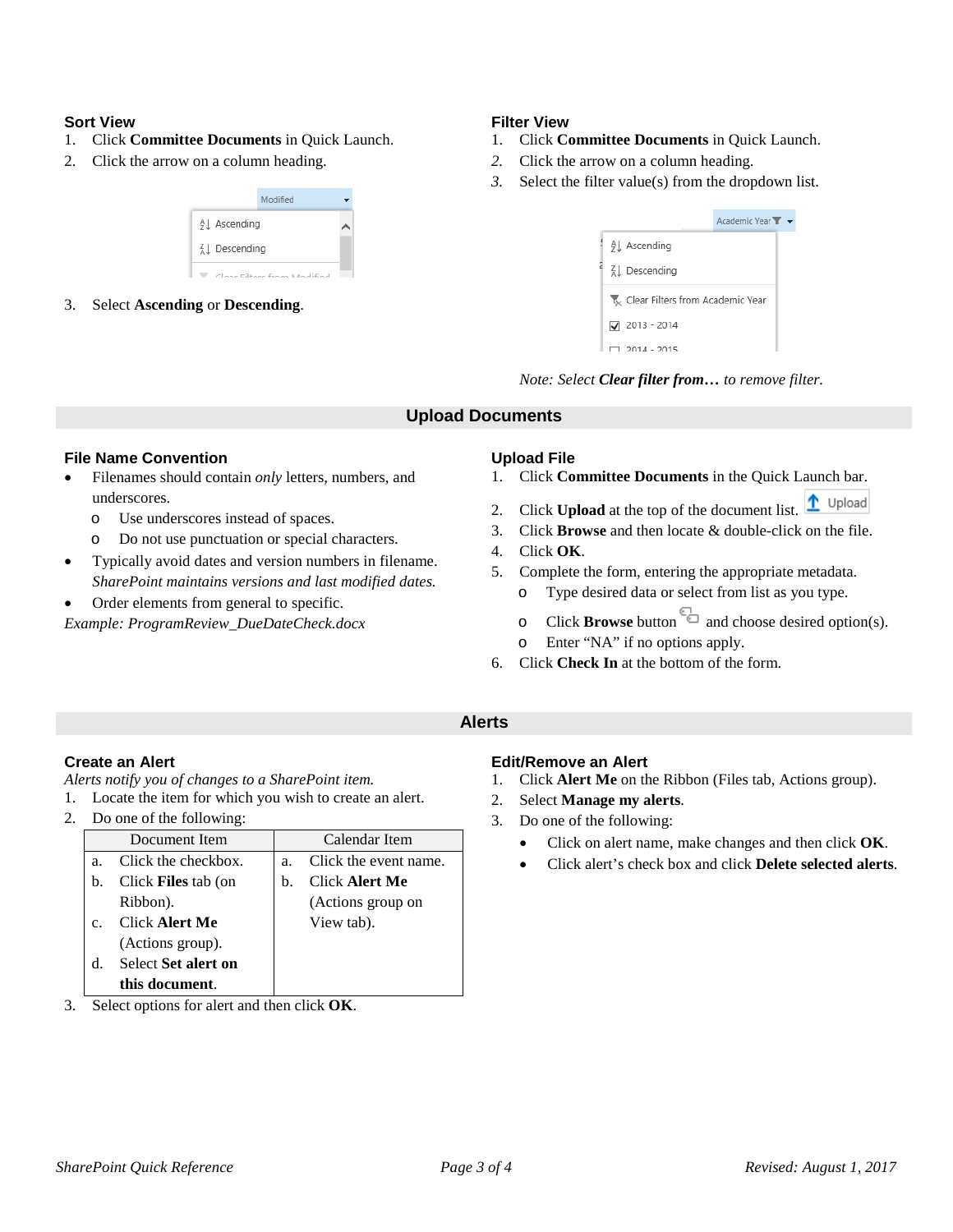#### **Sort View**

- 1. Click **Committee Documents** in Quick Launch.
- 2. Click the arrow on a column heading.



3. Select **Ascending** or **Descending**.

## **Filter View**

- 1. Click **Committee Documents** in Quick Launch.
- *2.* Click the arrow on a column heading.
- *3.* Select the filter value(s) from the dropdown list.

|                                  | Academic Year $\mathbf{r}$ $\mathbf{\star}$ |
|----------------------------------|---------------------------------------------|
| 9 LAscending                     |                                             |
| ∡ Descending                     |                                             |
| Clear Filters from Academic Year |                                             |
| $\sqrt{2013} - 2014$             |                                             |
| $2014 - 2015$                    |                                             |

*Note: Select Clear filter from… to remove filter.*

# **Upload Documents**

#### **File Name Convention**

- Filenames should contain *only* letters, numbers, and underscores.
	- o Use underscores instead of spaces.
	- o Do not use punctuation or special characters.
- Typically avoid dates and version numbers in filename. *SharePoint maintains versions and last modified dates.*
- Order elements from general to specific.

*Example: ProgramReview\_DueDateCheck.docx*

# **Upload File**

- 1. Click **Committee Documents** in the Quick Launch bar.
- t Upload 2. Click **Upload** at the top of the document list.
- 3. Click **Browse** and then locate & double-click on the file.
- 4. Click **OK**.
- 5. Complete the form, entering the appropriate metadata.
	- o Type desired data or select from list as you type.
	- o Click **Browse** button and choose desired option(s). o Enter "NA" if no options apply.
- 6. Click **Check In** at the bottom of the form.

# **Alerts**

# **Create an Alert**

*Alerts notify you of changes to a SharePoint item.*

- 1. Locate the item for which you wish to create an alert.
- 2. Do one of the following:

|               | Document Item              |    | Calendar Item         |
|---------------|----------------------------|----|-----------------------|
| a.            | Click the checkbox.        | a. | Click the event name. |
| b.            | Click <b>Files</b> tab (on | b. | <b>Click Alert Me</b> |
|               | Ribbon).                   |    | (Actions group on     |
| $\mathcal{C}$ | <b>Click Alert Me</b>      |    | View tab).            |
|               | (Actions group).           |    |                       |
| d.            | <b>Select Set alert on</b> |    |                       |
|               | this document.             |    |                       |

3. Select options for alert and then click **OK**.

#### **Edit/Remove an Alert**

- 1. Click **Alert Me** on the Ribbon (Files tab, Actions group).
- 2. Select **Manage my alerts**.
- 3. Do one of the following:
	- Click on alert name, make changes and then click **OK**.
	- Click alert's check box and click **Delete selected alerts**.